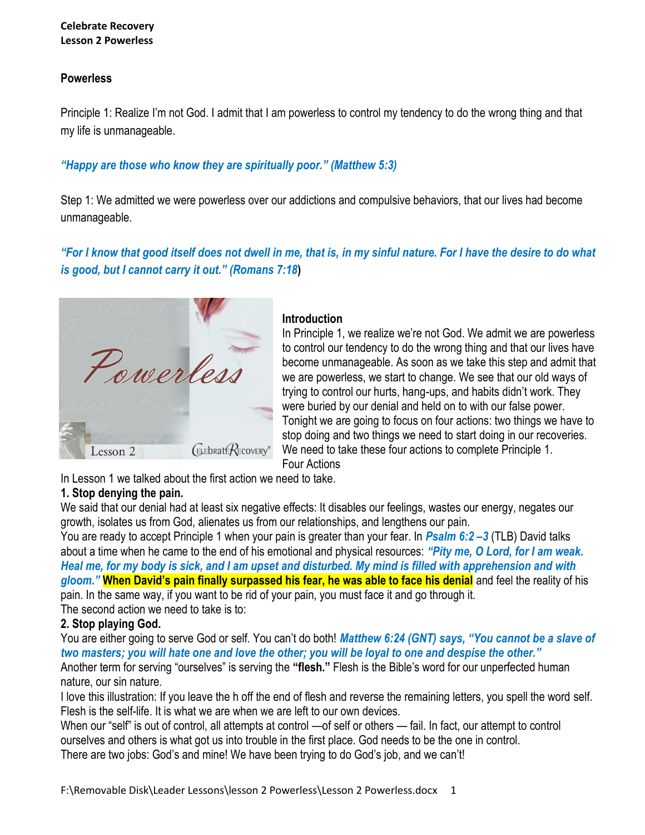#### **Powerless**

Principle 1: Realize I'm not God. I admit that I am powerless to control my tendency to do the wrong thing and that my life is unmanageable.

### *"Happy are those who know they are spiritually poor." (Matthew 5:3)*

Step 1: We admitted we were powerless over our addictions and compulsive behaviors, that our lives had become unmanageable.

# *"For I know that good itself does not dwell in me, that is, in my sinful nature. For I have the desire to do what is good, but I cannot carry it out." (Romans 7:18***)**



#### **Introduction**

In Principle 1, we realize we're not God. We admit we are powerless to control our tendency to do the wrong thing and that our lives have become unmanageable. As soon as we take this step and admit that we are powerless, we start to change. We see that our old ways of trying to control our hurts, hang-ups, and habits didn't work. They were buried by our denial and held on to with our false power. Tonight we are going to focus on four actions: two things we have to stop doing and two things we need to start doing in our recoveries. We need to take these four actions to complete Principle 1. Four Actions

In Lesson 1 we talked about the first action we need to take.

### **1. Stop denying the pain.**

We said that our denial had at least six negative effects: It disables our feelings, wastes our energy, negates our growth, isolates us from God, alienates us from our relationships, and lengthens our pain.

You are ready to accept Principle 1 when your pain is greater than your fear. In *Psalm 6:2 –3* (TLB) David talks about a time when he came to the end of his emotional and physical resources: *"Pity me, O Lord, for I am weak. Heal me, for my body is sick, and I am upset and disturbed. My mind is filled with apprehension and with gloom."* **When David's pain finally surpassed his fear, he was able to face his denial** and feel the reality of his pain. In the same way, if you want to be rid of your pain, you must face it and go through it.

The second action we need to take is to:

# **2. Stop playing God.**

You are either going to serve God or self. You can't do both! *Matthew 6:24 (GNT) says, "You cannot be a slave of two masters; you will hate one and love the other; you will be loyal to one and despise the other."* 

Another term for serving "ourselves" is serving the **"flesh."** Flesh is the Bible's word for our unperfected human nature, our sin nature.

I love this illustration: If you leave the h off the end of flesh and reverse the remaining letters, you spell the word self. Flesh is the self-life. It is what we are when we are left to our own devices.

When our "self" is out of control, all attempts at control —of self or others — fail. In fact, our attempt to control ourselves and others is what got us into trouble in the first place. God needs to be the one in control.

There are two jobs: God's and mine! We have been trying to do God's job, and we can't!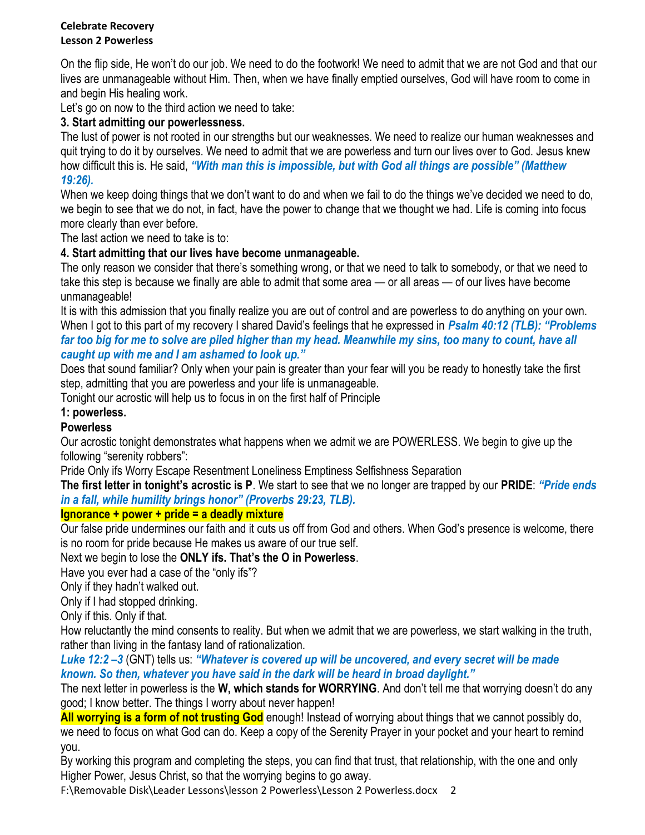On the flip side, He won't do our job. We need to do the footwork! We need to admit that we are not God and that our lives are unmanageable without Him. Then, when we have finally emptied ourselves, God will have room to come in and begin His healing work.

Let's go on now to the third action we need to take:

# **3. Start admitting our powerlessness.**

The lust of power is not rooted in our strengths but our weaknesses. We need to realize our human weaknesses and quit trying to do it by ourselves. We need to admit that we are powerless and turn our lives over to God. Jesus knew how difficult this is. He said, *"With man this is impossible, but with God all things are possible" (Matthew 19:26).*

When we keep doing things that we don't want to do and when we fail to do the things we've decided we need to do, we begin to see that we do not, in fact, have the power to change that we thought we had. Life is coming into focus more clearly than ever before.

The last action we need to take is to:

# **4. Start admitting that our lives have become unmanageable.**

The only reason we consider that there's something wrong, or that we need to talk to somebody, or that we need to take this step is because we finally are able to admit that some area — or all areas — of our lives have become unmanageable!

It is with this admission that you finally realize you are out of control and are powerless to do anything on your own. When I got to this part of my recovery I shared David's feelings that he expressed in *Psalm 40:12 (TLB): "Problems far too big for me to solve are piled higher than my head. Meanwhile my sins, too many to count, have all caught up with me and I am ashamed to look up."* 

Does that sound familiar? Only when your pain is greater than your fear will you be ready to honestly take the first step, admitting that you are powerless and your life is unmanageable.

Tonight our acrostic will help us to focus in on the first half of Principle

# **1: powerless.**

# **Powerless**

Our acrostic tonight demonstrates what happens when we admit we are POWERLESS. We begin to give up the following "serenity robbers":

Pride Only ifs Worry Escape Resentment Loneliness Emptiness Selfishness Separation

**The first letter in tonight's acrostic is P**. We start to see that we no longer are trapped by our **PRIDE**: *"Pride ends in a fall, while humility brings honor" (Proverbs 29:23, TLB).* 

# **Ignorance + power + pride = a deadly mixture**

Our false pride undermines our faith and it cuts us off from God and others. When God's presence is welcome, there is no room for pride because He makes us aware of our true self.

Next we begin to lose the **ONLY ifs. That's the O in Powerless**.

Have you ever had a case of the "only ifs"?

Only if they hadn't walked out.

Only if I had stopped drinking.

Only if this. Only if that.

How reluctantly the mind consents to reality. But when we admit that we are powerless, we start walking in the truth, rather than living in the fantasy land of rationalization.

*Luke 12:2 –3* (GNT) tells us: *"Whatever is covered up will be uncovered, and every secret will be made known. So then, whatever you have said in the dark will be heard in broad daylight."*

The next letter in powerless is the **W, which stands for WORRYING**. And don't tell me that worrying doesn't do any good; I know better. The things I worry about never happen!

**All worrying is a form of not trusting God** enough! Instead of worrying about things that we cannot possibly do, we need to focus on what God can do. Keep a copy of the Serenity Prayer in your pocket and your heart to remind you.

By working this program and completing the steps, you can find that trust, that relationship, with the one and only Higher Power, Jesus Christ, so that the worrying begins to go away.

F:\Removable Disk\Leader Lessons\lesson 2 Powerless\Lesson 2 Powerless.docx 2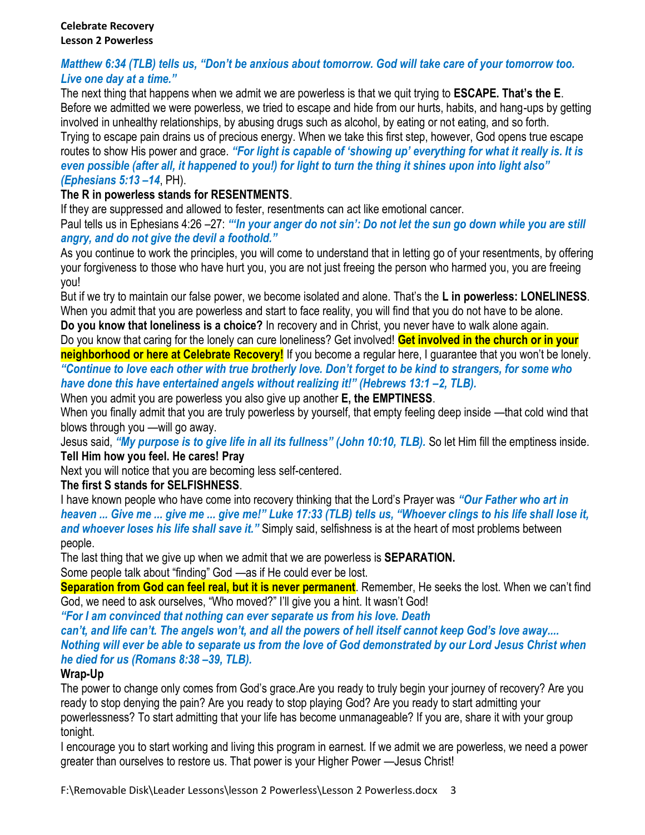#### *Matthew 6:34 (TLB) tells us, "Don't be anxious about tomorrow. God will take care of your tomorrow too. Live one day at a time."*

The next thing that happens when we admit we are powerless is that we quit trying to **ESCAPE. That's the E**. Before we admitted we were powerless, we tried to escape and hide from our hurts, habits, and hang-ups by getting involved in unhealthy relationships, by abusing drugs such as alcohol, by eating or not eating, and so forth. Trying to escape pain drains us of precious energy. When we take this first step, however, God opens true escape routes to show His power and grace. *"For light is capable of 'showing up' everything for what it really is. It is* 

*even possible (after all, it happened to you!) for light to turn the thing it shines upon into light also" (Ephesians 5:13 –14*, PH).

# **The R in powerless stands for RESENTMENTS**.

If they are suppressed and allowed to fester, resentments can act like emotional cancer.

Paul tells us in Ephesians 4:26 –27: *"'In your anger do not sin': Do not let the sun go down while you are still angry, and do not give the devil a foothold."* 

As you continue to work the principles, you will come to understand that in letting go of your resentments, by offering your forgiveness to those who have hurt you, you are not just freeing the person who harmed you, you are freeing you!

But if we try to maintain our false power, we become isolated and alone. That's the **L in powerless: LONELINESS**. When you admit that you are powerless and start to face reality, you will find that you do not have to be alone.

**Do you know that loneliness is a choice?** In recovery and in Christ, you never have to walk alone again.

Do you know that caring for the lonely can cure loneliness? Get involved! **Get involved in the church or in your neighborhood or here at Celebrate Recovery!** If you become a regular here, I guarantee that you won't be lonely. *"Continue to love each other with true brotherly love. Don't forget to be kind to strangers, for some who have done this have entertained angels without realizing it!" (Hebrews 13:1 –2, TLB).* 

When you admit you are powerless you also give up another **E, the EMPTINESS**.

When you finally admit that you are truly powerless by yourself, that empty feeling deep inside —that cold wind that blows through you —will go away.

Jesus said, *"My purpose is to give life in all its fullness" (John 10:10, TLB).* So let Him fill the emptiness inside. **Tell Him how you feel. He cares! Pray**

Next you will notice that you are becoming less self-centered.

**The first S stands for SELFISHNESS**.

I have known people who have come into recovery thinking that the Lord's Prayer was *"Our Father who art in heaven ... Give me ... give me ... give me!" Luke 17:33 (TLB) tells us, "Whoever clings to his life shall lose it, and whoever loses his life shall save it."* Simply said, selfishness is at the heart of most problems between people.

The last thing that we give up when we admit that we are powerless is **SEPARATION.** Some people talk about "finding" God —as if He could ever be lost.

**Separation from God can feel real, but it is never permanent**. Remember, He seeks the lost. When we can't find God, we need to ask ourselves, "Who moved?" I'll give you a hint. It wasn't God!

*"For I am convinced that nothing can ever separate us from his love. Death* 

*can't, and life can't. The angels won't, and all the powers of hell itself cannot keep God's love away.... Nothing will ever be able to separate us from the love of God demonstrated by our Lord Jesus Christ when he died for us (Romans 8:38 –39, TLB).* 

# **Wrap-Up**

The power to change only comes from God's grace.Are you ready to truly begin your journey of recovery? Are you ready to stop denying the pain? Are you ready to stop playing God? Are you ready to start admitting your powerlessness? To start admitting that your life has become unmanageable? If you are, share it with your group tonight.

I encourage you to start working and living this program in earnest. If we admit we are powerless, we need a power greater than ourselves to restore us. That power is your Higher Power —Jesus Christ!

F:\Removable Disk\Leader Lessons\lesson 2 Powerless\Lesson 2 Powerless.docx 3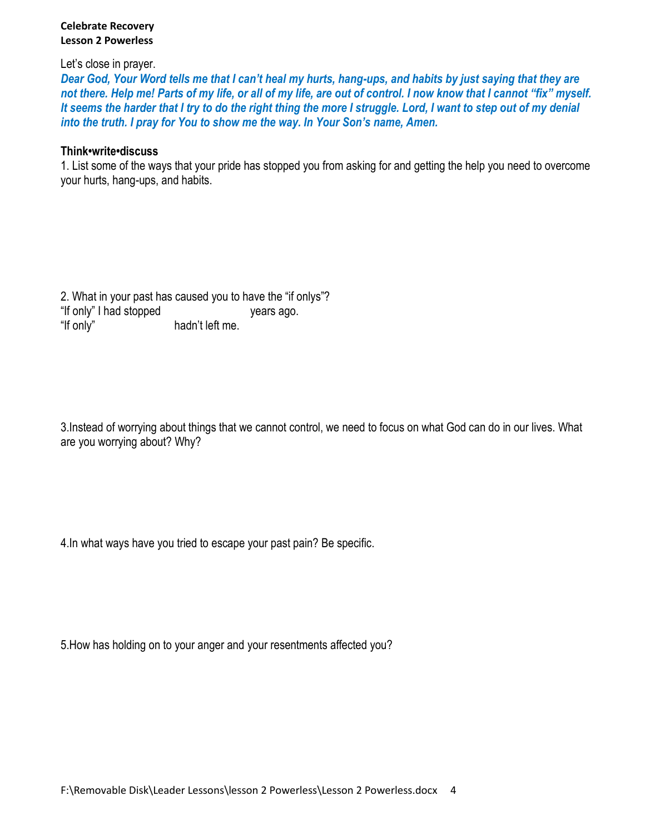Let's close in prayer.

*Dear God, Your Word tells me that I can't heal my hurts, hang-ups, and habits by just saying that they are not there. Help me! Parts of my life, or all of my life, are out of control. I now know that I cannot "fix" myself. It seems the harder that I try to do the right thing the more I struggle. Lord, I want to step out of my denial into the truth. I pray for You to show me the way. In Your Son's name, Amen.*

#### **Think•write•discuss**

1. List some of the ways that your pride has stopped you from asking for and getting the help you need to overcome your hurts, hang-ups, and habits.

2. What in your past has caused you to have the "if onlys"? "If only" I had stopped years ago. "If only" hadn't left me.

3.Instead of worrying about things that we cannot control, we need to focus on what God can do in our lives. What are you worrying about? Why?

4.In what ways have you tried to escape your past pain? Be specific.

5.How has holding on to your anger and your resentments affected you?